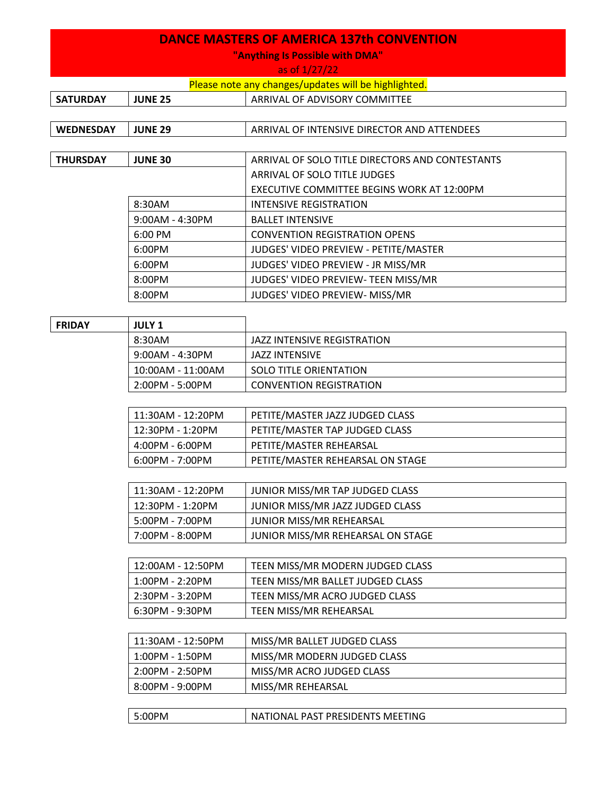## **DANCE MASTERS OF AMERICA 137th CONVENTION**

**"Anything Is Possible with DMA"**

as of 1/27/22

| Please note any changes/updates will be highlighted. |  |
|------------------------------------------------------|--|
|------------------------------------------------------|--|

| <b>SATURDAY</b>  | <b>JUNE 25</b>    | ARRIVAL OF ADVISORY COMMITTEE                   |
|------------------|-------------------|-------------------------------------------------|
|                  |                   |                                                 |
| <b>WEDNESDAY</b> | <b>JUNE 29</b>    | ARRIVAL OF INTENSIVE DIRECTOR AND ATTENDEES     |
|                  |                   |                                                 |
| <b>THURSDAY</b>  | <b>JUNE 30</b>    | ARRIVAL OF SOLO TITLE DIRECTORS AND CONTESTANTS |
|                  |                   | ARRIVAL OF SOLO TITLE JUDGES                    |
|                  |                   | EXECUTIVE COMMITTEE BEGINS WORK AT 12:00PM      |
|                  | 8:30AM            | INTENSIVE REGISTRATION                          |
|                  | $9:00AM - 4:30PM$ | <b>BALLET INTENSIVE</b>                         |
|                  | 6:00 PM           | <b>CONVENTION REGISTRATION OPENS</b>            |
|                  | 6:00PM            | JUDGES' VIDEO PREVIEW - PETITE/MASTER           |
|                  | 6:00PM            | JUDGES' VIDEO PREVIEW - JR MISS/MR              |
|                  | 8:00PM            | JUDGES' VIDEO PREVIEW- TEEN MISS/MR             |
|                  | 8:00PM            | JUDGES' VIDEO PREVIEW- MISS/MR                  |
|                  |                   |                                                 |
| <b>FRIDAY</b>    | <b>JULY 1</b>     |                                                 |

| 8:30AM<br>JAZZ INTENSIVE REGISTRATION       |  |
|---------------------------------------------|--|
| 9:00AM - 4:30PM<br>JAZZ INTENSIVE           |  |
| 10:00AM - 11:00AM<br>SOLO TITLE ORIENTATION |  |
| 2:00PM - 5:00PM<br>CONVENTION REGISTRATION  |  |

| 11:30AM - 12:20PM | PETITE/MASTER JAZZ JUDGED CLASS  |
|-------------------|----------------------------------|
| 12:30PM - 1:20PM  | PETITE/MASTER TAP JUDGED CLASS   |
| 4:00PM - 6:00PM   | PETITE/MASTER REHEARSAL          |
| 6:00PM - 7:00PM   | PETITE/MASTER REHEARSAL ON STAGE |

| 11:30AM - 12:20PM | JUNIOR MISS/MR TAP JUDGED CLASS   |
|-------------------|-----------------------------------|
| 12:30PM - 1:20PM  | JUNIOR MISS/MR JAZZ JUDGED CLASS  |
| 5:00PM - 7:00PM   | JUNIOR MISS/MR REHEARSAL          |
| 7:00PM - 8:00PM   | JUNIOR MISS/MR REHEARSAL ON STAGE |

| 12:00AM - 12:50PM | TEEN MISS/MR MODERN JUDGED CLASS |
|-------------------|----------------------------------|
| 1:00PM - 2:20PM   | TEEN MISS/MR BALLET JUDGED CLASS |
| 2:30PM - 3:20PM   | TEEN MISS/MR ACRO JUDGED CLASS   |
| 6:30PM - 9:30PM   | TEEN MISS/MR REHEARSAL           |

| 11:30AM - 12:50PM | MISS/MR BALLET JUDGED CLASS |
|-------------------|-----------------------------|
| $1:00PM - 1:50PM$ | MISS/MR MODERN JUDGED CLASS |
| 2:00PM - 2:50PM   | MISS/MR ACRO JUDGED CLASS   |
| 8:00PM - 9:00PM   | MISS/MR REHEARSAL           |

| 5:00PM | NATIONAL PAST PRESIDENTS MEETING |
|--------|----------------------------------|
|        |                                  |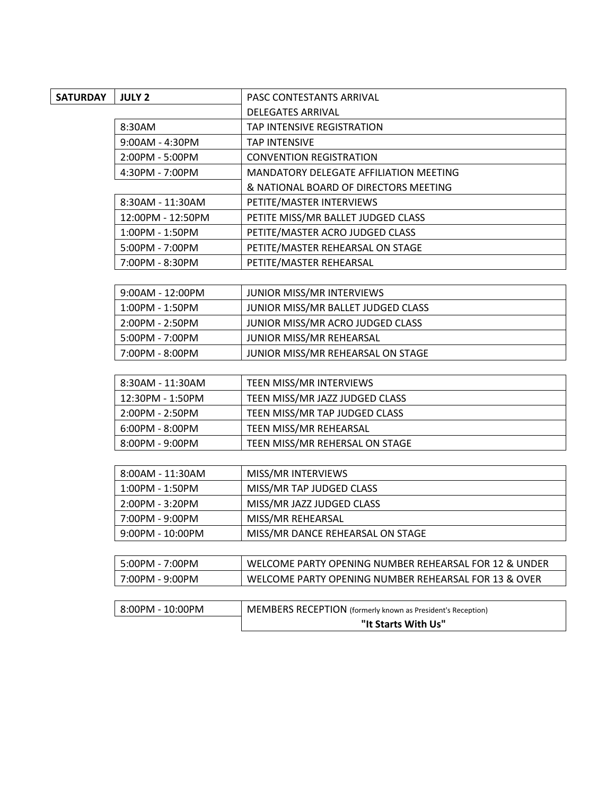| <b>SATURDAY</b> | <b>JULY 2</b>      | PASC CONTESTANTS ARRIVAL                                           |
|-----------------|--------------------|--------------------------------------------------------------------|
|                 |                    | <b>DELEGATES ARRIVAL</b>                                           |
|                 | 8:30AM             | TAP INTENSIVE REGISTRATION                                         |
|                 | 9:00AM - 4:30PM    | <b>TAP INTENSIVE</b>                                               |
|                 | 2:00PM - 5:00PM    | <b>CONVENTION REGISTRATION</b>                                     |
|                 | 4:30PM - 7:00PM    | MANDATORY DELEGATE AFFILIATION MEETING                             |
|                 |                    | & NATIONAL BOARD OF DIRECTORS MEETING                              |
|                 | 8:30AM - 11:30AM   | PETITE/MASTER INTERVIEWS                                           |
|                 | 12:00PM - 12:50PM  | PETITE MISS/MR BALLET JUDGED CLASS                                 |
|                 | 1:00PM - 1:50PM    | PETITE/MASTER ACRO JUDGED CLASS                                    |
|                 | 5:00PM - 7:00PM    | PETITE/MASTER REHEARSAL ON STAGE                                   |
|                 | 7:00PM - 8:30PM    | PETITE/MASTER REHEARSAL                                            |
|                 |                    |                                                                    |
|                 | $9:00AM - 12:00PM$ | JUNIOR MISS/MR INTERVIEWS                                          |
|                 | 1:00PM - 1:50PM    | JUNIOR MISS/MR BALLET JUDGED CLASS                                 |
|                 | 2:00PM - 2:50PM    | JUNIOR MISS/MR ACRO JUDGED CLASS                                   |
|                 | 5:00PM - 7:00PM    | JUNIOR MISS/MR REHEARSAL                                           |
|                 | 7:00PM - 8:00PM    | JUNIOR MISS/MR REHEARSAL ON STAGE                                  |
|                 |                    |                                                                    |
|                 | 8:30AM - 11:30AM   | TEEN MISS/MR INTERVIEWS                                            |
|                 | 12:30PM - 1:50PM   | TEEN MISS/MR JAZZ JUDGED CLASS                                     |
|                 | 2:00PM - 2:50PM    | TEEN MISS/MR TAP JUDGED CLASS                                      |
|                 | 6:00PM - 8:00PM    | TEEN MISS/MR REHEARSAL                                             |
|                 | 8:00PM - 9:00PM    | TEEN MISS/MR REHERSAL ON STAGE                                     |
|                 |                    |                                                                    |
|                 | 8:00AM - 11:30AM   | MISS/MR INTERVIEWS                                                 |
|                 | 1:00PM - 1:50PM    | MISS/MR TAP JUDGED CLASS                                           |
|                 | 2:00PM - 3:20PM    | MISS/MR JAZZ JUDGED CLASS                                          |
|                 | 7:00PM - 9:00PM    | MISS/MR REHEARSAL                                                  |
|                 | $9:00PM - 10:00PM$ | MISS/MR DANCE REHEARSAL ON STAGE                                   |
|                 |                    |                                                                    |
|                 | 5:00PM - 7:00PM    | WELCOME PARTY OPENING NUMBER REHEARSAL FOR 12 & UNDER              |
|                 | 7:00PM - 9:00PM    | WELCOME PARTY OPENING NUMBER REHEARSAL FOR 13 & OVER               |
|                 |                    |                                                                    |
|                 | 8:00PM - 10:00PM   | <b>MEMBERS RECEPTION</b> (formerly known as President's Reception) |
|                 |                    | "It Starts With Us"                                                |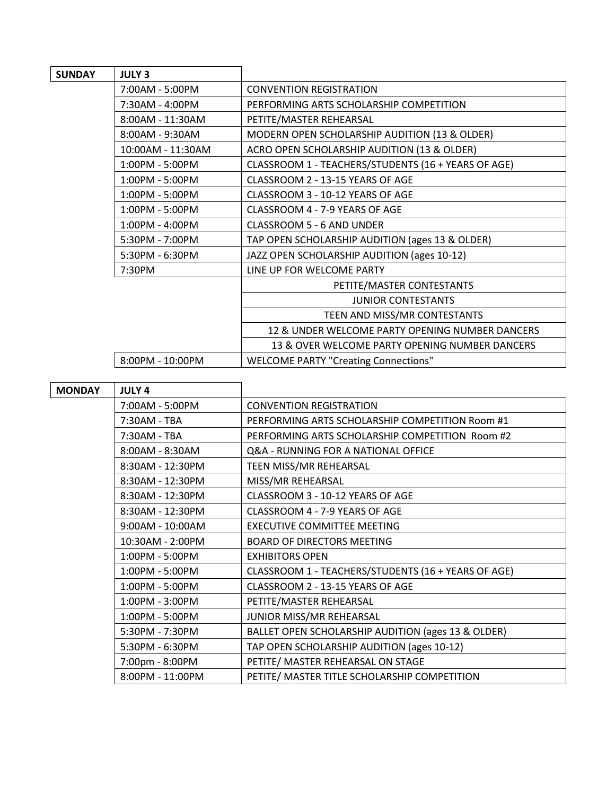| <b>SUNDAY</b> | <b>JULY 3</b>     |                                                     |
|---------------|-------------------|-----------------------------------------------------|
|               | 7:00AM - 5:00PM   | <b>CONVENTION REGISTRATION</b>                      |
|               | 7:30AM - 4:00PM   | PERFORMING ARTS SCHOLARSHIP COMPETITION             |
|               | 8:00AM - 11:30AM  | PETITE/MASTER REHEARSAL                             |
|               | 8:00AM - 9:30AM   | MODERN OPEN SCHOLARSHIP AUDITION (13 & OLDER)       |
|               | 10:00AM - 11:30AM | ACRO OPEN SCHOLARSHIP AUDITION (13 & OLDER)         |
|               | 1:00PM - 5:00PM   | CLASSROOM 1 - TEACHERS/STUDENTS (16 + YEARS OF AGE) |
|               | 1:00PM - 5:00PM   | CLASSROOM 2 - 13-15 YEARS OF AGE                    |
|               | 1:00PM - 5:00PM   | CLASSROOM 3 - 10-12 YEARS OF AGE                    |
|               | 1:00PM - 5:00PM   | CLASSROOM 4 - 7-9 YEARS OF AGE                      |
|               | 1:00PM - 4:00PM   | <b>CLASSROOM 5 - 6 AND UNDER</b>                    |
|               | 5:30PM - 7:00PM   | TAP OPEN SCHOLARSHIP AUDITION (ages 13 & OLDER)     |
|               | 5:30PM - 6:30PM   | JAZZ OPEN SCHOLARSHIP AUDITION (ages 10-12)         |
|               | 7:30PM            | LINE UP FOR WELCOME PARTY                           |
|               |                   | PETITE/MASTER CONTESTANTS                           |
|               |                   | <b>JUNIOR CONTESTANTS</b>                           |
|               |                   | TEEN AND MISS/MR CONTESTANTS                        |
|               |                   | 12 & UNDER WELCOME PARTY OPENING NUMBER DANCERS     |
|               |                   | 13 & OVER WELCOME PARTY OPENING NUMBER DANCERS      |
|               | 8:00PM - 10:00PM  | <b>WELCOME PARTY "Creating Connections"</b>         |
|               |                   |                                                     |

| <b>MONDAY</b> | <b>JULY 4</b>    |                                                     |
|---------------|------------------|-----------------------------------------------------|
|               | 7:00AM - 5:00PM  | <b>CONVENTION REGISTRATION</b>                      |
|               | 7:30AM - TBA     | PERFORMING ARTS SCHOLARSHIP COMPETITION Room #1     |
|               | 7:30AM - TBA     | PERFORMING ARTS SCHOLARSHIP COMPETITION Room #2     |
|               | 8:00AM - 8:30AM  | Q&A - RUNNING FOR A NATIONAL OFFICE                 |
|               | 8:30AM - 12:30PM | TEEN MISS/MR REHEARSAL                              |
|               | 8:30AM - 12:30PM | MISS/MR REHEARSAL                                   |
|               | 8:30AM - 12:30PM | CLASSROOM 3 - 10-12 YEARS OF AGE                    |
|               | 8:30AM - 12:30PM | CLASSROOM 4 - 7-9 YEARS OF AGE                      |
|               | 9:00AM - 10:00AM | <b>EXECUTIVE COMMITTEE MEETING</b>                  |
|               | 10:30AM - 2:00PM | <b>BOARD OF DIRECTORS MEETING</b>                   |
|               | 1:00PM - 5:00PM  | <b>EXHIBITORS OPEN</b>                              |
|               | 1:00PM - 5:00PM  | CLASSROOM 1 - TEACHERS/STUDENTS (16 + YEARS OF AGE) |
|               | 1:00PM - 5:00PM  | CLASSROOM 2 - 13-15 YEARS OF AGE                    |
|               | 1:00PM - 3:00PM  | PETITE/MASTER REHEARSAL                             |
|               | 1:00PM - 5:00PM  | JUNIOR MISS/MR REHEARSAL                            |
|               | 5:30PM - 7:30PM  | BALLET OPEN SCHOLARSHIP AUDITION (ages 13 & OLDER)  |
|               | 5:30PM - 6:30PM  | TAP OPEN SCHOLARSHIP AUDITION (ages 10-12)          |
|               | 7:00pm - 8:00PM  | PETITE/ MASTER REHEARSAL ON STAGE                   |
|               | 8:00PM - 11:00PM | PETITE/ MASTER TITLE SCHOLARSHIP COMPETITION        |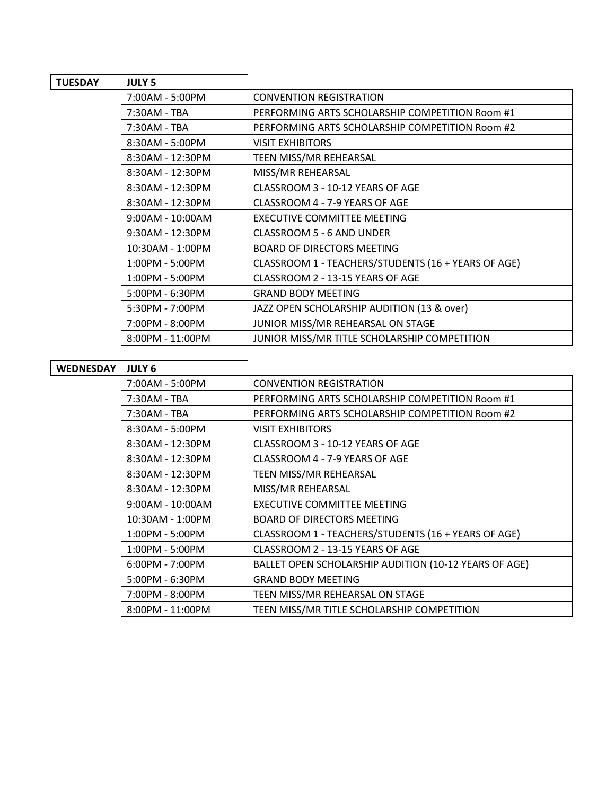| <b>TUESDAY</b>   | <b>JULY 5</b>     |                                                     |
|------------------|-------------------|-----------------------------------------------------|
|                  | 7:00AM - 5:00PM   | <b>CONVENTION REGISTRATION</b>                      |
|                  | 7:30AM - TBA      | PERFORMING ARTS SCHOLARSHIP COMPETITION Room #1     |
|                  | 7:30AM - TBA      | PERFORMING ARTS SCHOLARSHIP COMPETITION Room #2     |
|                  | 8:30AM - 5:00PM   | <b>VISIT EXHIBITORS</b>                             |
|                  | 8:30AM - 12:30PM  | TEEN MISS/MR REHEARSAL                              |
|                  | 8:30AM - 12:30PM  | MISS/MR REHEARSAL                                   |
|                  | 8:30AM - 12:30PM  | CLASSROOM 3 - 10-12 YEARS OF AGE                    |
|                  | 8:30AM - 12:30PM  | CLASSROOM 4 - 7-9 YEARS OF AGE                      |
|                  | 9:00AM - 10:00AM  | <b>EXECUTIVE COMMITTEE MEETING</b>                  |
|                  | 9:30AM - 12:30PM  | CLASSROOM 5 - 6 AND UNDER                           |
|                  | 10:30AM - 1:00PM  | <b>BOARD OF DIRECTORS MEETING</b>                   |
|                  | 1:00PM - 5:00PM   | CLASSROOM 1 - TEACHERS/STUDENTS (16 + YEARS OF AGE) |
|                  | $1:00PM - 5:00PM$ | CLASSROOM 2 - 13-15 YEARS OF AGE                    |
|                  | 5:00PM - 6:30PM   | <b>GRAND BODY MEETING</b>                           |
|                  | 5:30PM - 7:00PM   | JAZZ OPEN SCHOLARSHIP AUDITION (13 & over)          |
|                  | 7:00PM - 8:00PM   | JUNIOR MISS/MR REHEARSAL ON STAGE                   |
|                  | 8:00PM - 11:00PM  | JUNIOR MISS/MR TITLE SCHOLARSHIP COMPETITION        |
|                  |                   |                                                     |
| <b>WEDNESDAY</b> | <b>JULY 6</b>     |                                                     |
|                  | 7:00AM - 5:00PM   | <b>CONVENTION REGISTRATION</b>                      |
|                  | 7:30AM - TBA      | PERFORMING ARTS SCHOLARSHIP COMPETITION Room #1     |

| 7:30AM - TBA       | PERFORMING ARTS SCHOLARSHIP COMPETITION Room #1       |
|--------------------|-------------------------------------------------------|
| 7:30AM - TBA       | PERFORMING ARTS SCHOLARSHIP COMPETITION Room #2       |
| 8:30AM - 5:00PM    | <b>VISIT EXHIBITORS</b>                               |
| 8:30AM - 12:30PM   | CLASSROOM 3 - 10-12 YEARS OF AGE                      |
| 8:30AM - 12:30PM   | CLASSROOM 4 - 7-9 YEARS OF AGE                        |
| 8:30AM - 12:30PM   | TEEN MISS/MR REHEARSAL                                |
| 8:30AM - 12:30PM   | MISS/MR REHEARSAL                                     |
| $9:00AM - 10:00AM$ | <b>EXECUTIVE COMMITTEE MEETING</b>                    |
| 10:30AM - 1:00PM   | <b>BOARD OF DIRECTORS MEETING</b>                     |
| 1:00PM - 5:00PM    | CLASSROOM 1 - TEACHERS/STUDENTS (16 + YEARS OF AGE)   |
| 1:00PM - 5:00PM    | CLASSROOM 2 - 13-15 YEARS OF AGE                      |
| 6:00PM - 7:00PM    | BALLET OPEN SCHOLARSHIP AUDITION (10-12 YEARS OF AGE) |
| 5:00PM - 6:30PM    | <b>GRAND BODY MEETING</b>                             |
| 7:00PM - 8:00PM    | TEEN MISS/MR REHEARSAL ON STAGE                       |
| 8:00PM - 11:00PM   | TEEN MISS/MR TITLE SCHOLARSHIP COMPETITION            |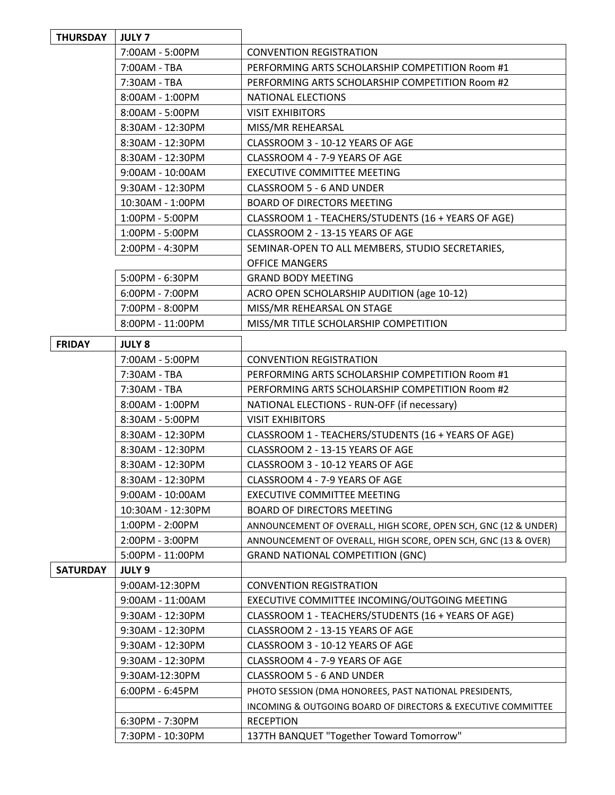| <b>THURSDAY</b> | <b>JULY 7</b>      |                                                                 |
|-----------------|--------------------|-----------------------------------------------------------------|
|                 | 7:00AM - 5:00PM    | <b>CONVENTION REGISTRATION</b>                                  |
|                 | 7:00AM - TBA       | PERFORMING ARTS SCHOLARSHIP COMPETITION Room #1                 |
|                 | 7:30AM - TBA       | PERFORMING ARTS SCHOLARSHIP COMPETITION Room #2                 |
|                 | 8:00AM - 1:00PM    | NATIONAL ELECTIONS                                              |
|                 | 8:00AM - 5:00PM    | <b>VISIT EXHIBITORS</b>                                         |
|                 | 8:30AM - 12:30PM   | MISS/MR REHEARSAL                                               |
|                 | 8:30AM - 12:30PM   | CLASSROOM 3 - 10-12 YEARS OF AGE                                |
|                 | 8:30AM - 12:30PM   | CLASSROOM 4 - 7-9 YEARS OF AGE                                  |
|                 | 9:00AM - 10:00AM   | <b>EXECUTIVE COMMITTEE MEETING</b>                              |
|                 | 9:30AM - 12:30PM   | CLASSROOM 5 - 6 AND UNDER                                       |
|                 | 10:30AM - 1:00PM   | <b>BOARD OF DIRECTORS MEETING</b>                               |
|                 | 1:00PM - 5:00PM    | CLASSROOM 1 - TEACHERS/STUDENTS (16 + YEARS OF AGE)             |
|                 | 1:00PM - 5:00PM    | CLASSROOM 2 - 13-15 YEARS OF AGE                                |
|                 | 2:00PM - 4:30PM    | SEMINAR-OPEN TO ALL MEMBERS, STUDIO SECRETARIES,                |
|                 |                    | <b>OFFICE MANGERS</b>                                           |
|                 | 5:00PM - 6:30PM    | <b>GRAND BODY MEETING</b>                                       |
|                 | 6:00PM - 7:00PM    | ACRO OPEN SCHOLARSHIP AUDITION (age 10-12)                      |
|                 | 7:00PM - 8:00PM    | MISS/MR REHEARSAL ON STAGE                                      |
|                 | 8:00PM - 11:00PM   | MISS/MR TITLE SCHOLARSHIP COMPETITION                           |
| <b>FRIDAY</b>   | <b>JULY 8</b>      |                                                                 |
|                 | 7:00AM - 5:00PM    | <b>CONVENTION REGISTRATION</b>                                  |
|                 | 7:30AM - TBA       | PERFORMING ARTS SCHOLARSHIP COMPETITION Room #1                 |
|                 | 7:30AM - TBA       | PERFORMING ARTS SCHOLARSHIP COMPETITION Room #2                 |
|                 | 8:00AM - 1:00PM    | NATIONAL ELECTIONS - RUN-OFF (if necessary)                     |
|                 | 8:30AM - 5:00PM    | <b>VISIT EXHIBITORS</b>                                         |
|                 | 8:30AM - 12:30PM   | CLASSROOM 1 - TEACHERS/STUDENTS (16 + YEARS OF AGE)             |
|                 | 8:30AM - 12:30PM   | CLASSROOM 2 - 13-15 YEARS OF AGE                                |
|                 | 8:30AM - 12:30PM   | CLASSROOM 3 - 10-12 YEARS OF AGE                                |
|                 | 8:30AM - 12:30PM   | CLASSROOM 4 - 7-9 YEARS OF AGE                                  |
|                 | $9:00AM - 10:00AM$ | EXECUTIVE COMMITTEE MEETING                                     |
|                 | 10:30AM - 12:30PM  | <b>BOARD OF DIRECTORS MEETING</b>                               |
|                 | 1:00PM - 2:00PM    | ANNOUNCEMENT OF OVERALL, HIGH SCORE, OPEN SCH, GNC (12 & UNDER) |
|                 | 2:00PM - 3:00PM    | ANNOUNCEMENT OF OVERALL, HIGH SCORE, OPEN SCH, GNC (13 & OVER)  |
|                 | 5:00PM - 11:00PM   | <b>GRAND NATIONAL COMPETITION (GNC)</b>                         |
| <b>SATURDAY</b> | <b>JULY 9</b>      |                                                                 |
|                 | 9:00AM-12:30PM     | <b>CONVENTION REGISTRATION</b>                                  |
|                 | 9:00AM - 11:00AM   | EXECUTIVE COMMITTEE INCOMING/OUTGOING MEETING                   |
|                 | 9:30AM - 12:30PM   | CLASSROOM 1 - TEACHERS/STUDENTS (16 + YEARS OF AGE)             |
|                 | 9:30AM - 12:30PM   | CLASSROOM 2 - 13-15 YEARS OF AGE                                |
|                 | $9:30AM - 12:30PM$ | CLASSROOM 3 - 10-12 YEARS OF AGE                                |
|                 | 9:30AM - 12:30PM   | CLASSROOM 4 - 7-9 YEARS OF AGE                                  |
|                 | 9:30AM-12:30PM     | CLASSROOM 5 - 6 AND UNDER                                       |
|                 | 6:00PM - 6:45PM    | PHOTO SESSION (DMA HONOREES, PAST NATIONAL PRESIDENTS,          |
|                 |                    | INCOMING & OUTGOING BOARD OF DIRECTORS & EXECUTIVE COMMITTEE    |
|                 | 6:30PM - 7:30PM    | <b>RECEPTION</b>                                                |
|                 | 7:30PM - 10:30PM   | 137TH BANQUET "Together Toward Tomorrow"                        |